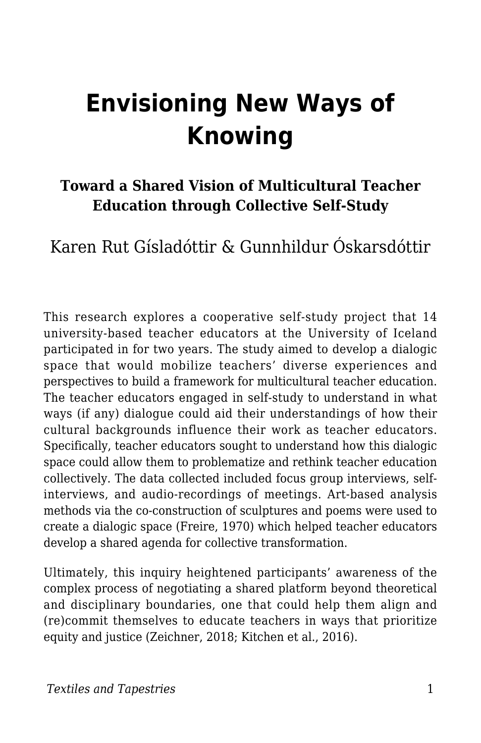# **Envisioning New Ways of Knowing**

### **Toward a Shared Vision of Multicultural Teacher Education through Collective Self-Study**

Karen Rut Gísladóttir & Gunnhildur Óskarsdóttir

This research explores a cooperative self-study project that 14 university-based teacher educators at the University of Iceland participated in for two years. The study aimed to develop a dialogic space that would mobilize teachers' diverse experiences and perspectives to build a framework for multicultural teacher education. The teacher educators engaged in self-study to understand in what ways (if any) dialogue could aid their understandings of how their cultural backgrounds influence their work as teacher educators. Specifically, teacher educators sought to understand how this dialogic space could allow them to problematize and rethink teacher education collectively. The data collected included focus group interviews, selfinterviews, and audio-recordings of meetings. Art-based analysis methods via the co-construction of sculptures and poems were used to create a dialogic space (Freire, 1970) which helped teacher educators develop a shared agenda for collective transformation.

Ultimately, this inquiry heightened participants' awareness of the complex process of negotiating a shared platform beyond theoretical and disciplinary boundaries, one that could help them align and (re)commit themselves to educate teachers in ways that prioritize equity and justice (Zeichner, 2018; Kitchen et al., 2016).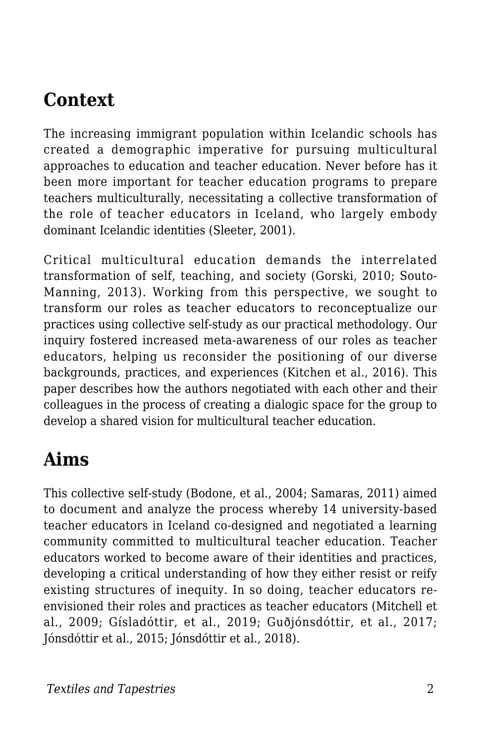### **Context**

The increasing immigrant population within Icelandic schools has created a demographic imperative for pursuing multicultural approaches to education and teacher education. Never before has it been more important for teacher education programs to prepare teachers multiculturally, necessitating a collective transformation of the role of teacher educators in Iceland, who largely embody dominant Icelandic identities (Sleeter, 2001).

Critical multicultural education demands the interrelated transformation of self, teaching, and society (Gorski, 2010; Souto-Manning, 2013). Working from this perspective, we sought to transform our roles as teacher educators to reconceptualize our practices using collective self-study as our practical methodology. Our inquiry fostered increased meta-awareness of our roles as teacher educators, helping us reconsider the positioning of our diverse backgrounds, practices, and experiences (Kitchen et al., 2016). This paper describes how the authors negotiated with each other and their colleagues in the process of creating a dialogic space for the group to develop a shared vision for multicultural teacher education.

## **Aims**

This collective self-study (Bodone, et al., 2004; Samaras, 2011) aimed to document and analyze the process whereby 14 university-based teacher educators in Iceland co-designed and negotiated a learning community committed to multicultural teacher education. Teacher educators worked to become aware of their identities and practices, developing a critical understanding of how they either resist or reify existing structures of inequity. In so doing, teacher educators reenvisioned their roles and practices as teacher educators (Mitchell et al., 2009; Gísladóttir, et al., 2019; Guðjónsdóttir, et al., 2017; Jónsdóttir et al., 2015; Jónsdóttir et al., 2018).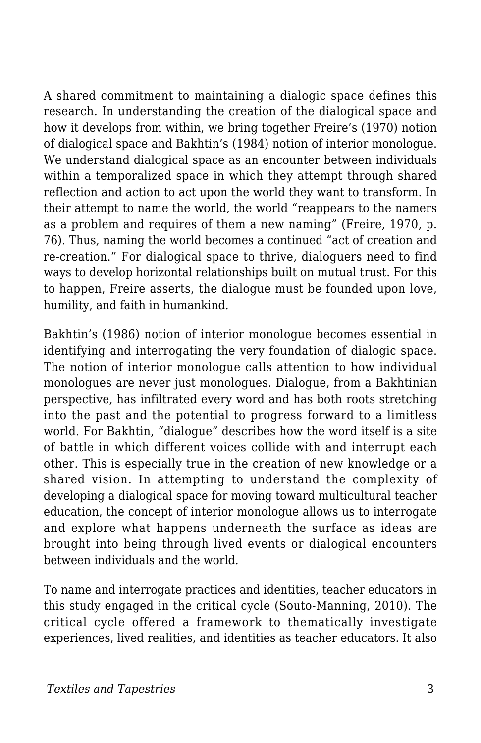A shared commitment to maintaining a dialogic space defines this research. In understanding the creation of the dialogical space and how it develops from within, we bring together Freire's (1970) notion of dialogical space and Bakhtin's (1984) notion of interior monologue. We understand dialogical space as an encounter between individuals within a temporalized space in which they attempt through shared reflection and action to act upon the world they want to transform. In their attempt to name the world, the world "reappears to the namers as a problem and requires of them a new naming" (Freire, 1970, p. 76). Thus, naming the world becomes a continued "act of creation and re-creation." For dialogical space to thrive, dialoguers need to find ways to develop horizontal relationships built on mutual trust. For this to happen, Freire asserts, the dialogue must be founded upon love, humility, and faith in humankind.

Bakhtin's (1986) notion of interior monologue becomes essential in identifying and interrogating the very foundation of dialogic space. The notion of interior monologue calls attention to how individual monologues are never just monologues. Dialogue, from a Bakhtinian perspective, has infiltrated every word and has both roots stretching into the past and the potential to progress forward to a limitless world. For Bakhtin, "dialogue" describes how the word itself is a site of battle in which different voices collide with and interrupt each other. This is especially true in the creation of new knowledge or a shared vision. In attempting to understand the complexity of developing a dialogical space for moving toward multicultural teacher education, the concept of interior monologue allows us to interrogate and explore what happens underneath the surface as ideas are brought into being through lived events or dialogical encounters between individuals and the world.

To name and interrogate practices and identities, teacher educators in this study engaged in the critical cycle (Souto-Manning, 2010). The critical cycle offered a framework to thematically investigate experiences, lived realities, and identities as teacher educators. It also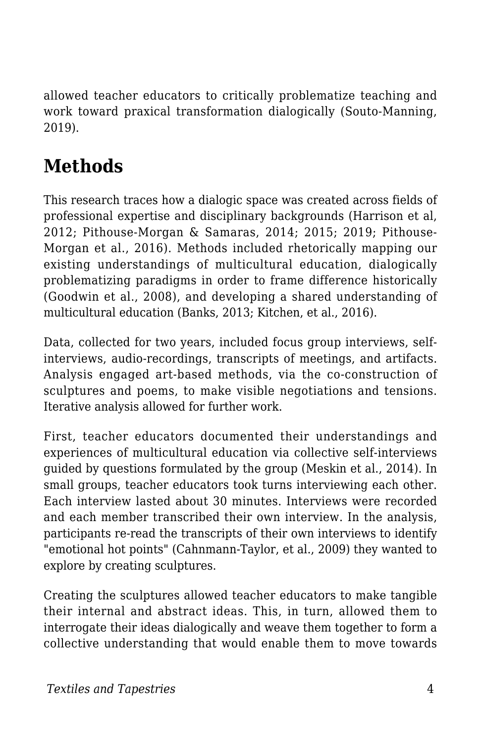allowed teacher educators to critically problematize teaching and work toward praxical transformation dialogically (Souto-Manning, 2019).

## **Methods**

This research traces how a dialogic space was created across fields of professional expertise and disciplinary backgrounds (Harrison et al, 2012; Pithouse-Morgan & Samaras, 2014; 2015; 2019; Pithouse-Morgan et al., 2016). Methods included rhetorically mapping our existing understandings of multicultural education, dialogically problematizing paradigms in order to frame difference historically (Goodwin et al., 2008), and developing a shared understanding of multicultural education (Banks, 2013; Kitchen, et al., 2016).

Data, collected for two years, included focus group interviews, selfinterviews, audio-recordings, transcripts of meetings, and artifacts. Analysis engaged art-based methods, via the co-construction of sculptures and poems, to make visible negotiations and tensions. Iterative analysis allowed for further work.

First, teacher educators documented their understandings and experiences of multicultural education via collective self-interviews guided by questions formulated by the group (Meskin et al., 2014). In small groups, teacher educators took turns interviewing each other. Each interview lasted about 30 minutes. Interviews were recorded and each member transcribed their own interview. In the analysis, participants re-read the transcripts of their own interviews to identify "emotional hot points" (Cahnmann-Taylor, et al., 2009) they wanted to explore by creating sculptures.

Creating the sculptures allowed teacher educators to make tangible their internal and abstract ideas. This, in turn, allowed them to interrogate their ideas dialogically and weave them together to form a collective understanding that would enable them to move towards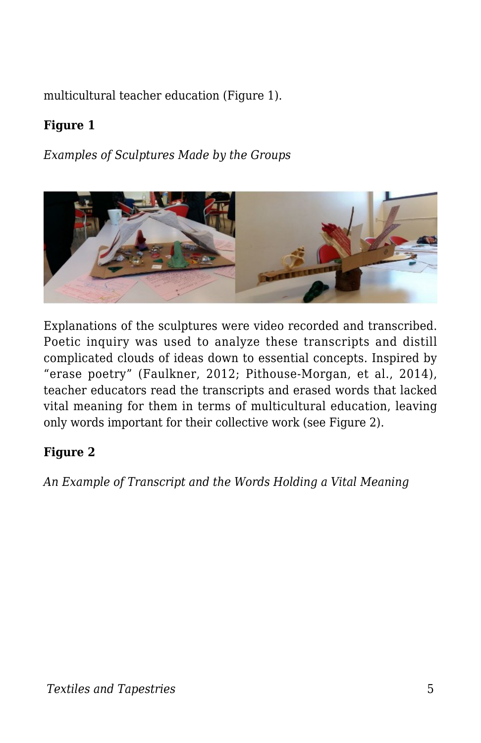multicultural teacher education (Figure 1).

#### **Figure 1**

*Examples of Sculptures Made by the Groups*



Explanations of the sculptures were video recorded and transcribed. Poetic inquiry was used to analyze these transcripts and distill complicated clouds of ideas down to essential concepts. Inspired by "erase poetry" (Faulkner, 2012; Pithouse-Morgan, et al., 2014), teacher educators read the transcripts and erased words that lacked vital meaning for them in terms of multicultural education, leaving only words important for their collective work (see Figure 2).

#### **Figure 2**

*An Example of Transcript and the Words Holding a Vital Meaning*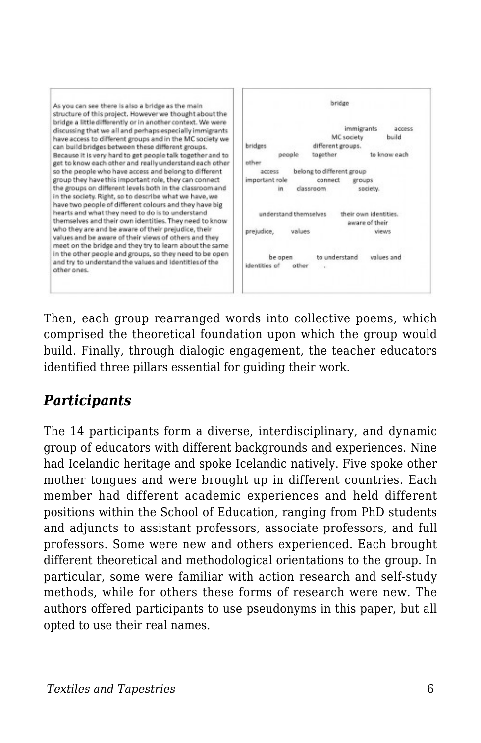

Then, each group rearranged words into collective poems, which comprised the theoretical foundation upon which the group would build. Finally, through dialogic engagement, the teacher educators identified three pillars essential for guiding their work.

### *Participants*

The 14 participants form a diverse, interdisciplinary, and dynamic group of educators with different backgrounds and experiences. Nine had Icelandic heritage and spoke Icelandic natively. Five spoke other mother tongues and were brought up in different countries. Each member had different academic experiences and held different positions within the School of Education, ranging from PhD students and adjuncts to assistant professors, associate professors, and full professors. Some were new and others experienced. Each brought different theoretical and methodological orientations to the group. In particular, some were familiar with action research and self-study methods, while for others these forms of research were new. The authors offered participants to use pseudonyms in this paper, but all opted to use their real names.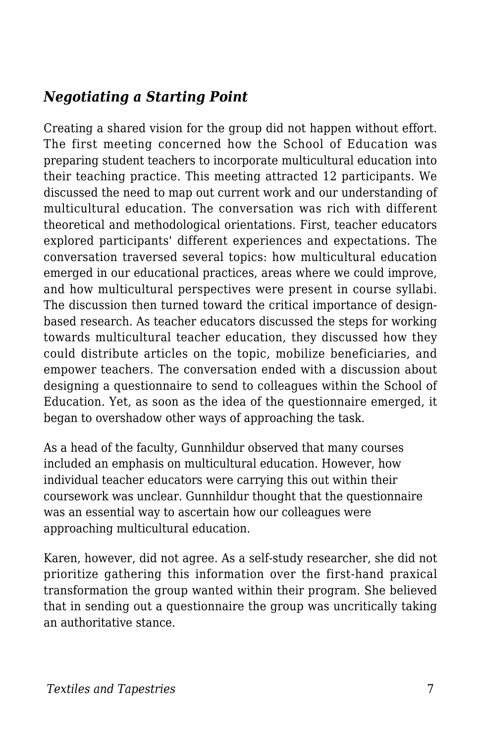#### *Negotiating a Starting Point*

Creating a shared vision for the group did not happen without effort. The first meeting concerned how the School of Education was preparing student teachers to incorporate multicultural education into their teaching practice. This meeting attracted 12 participants. We discussed the need to map out current work and our understanding of multicultural education. The conversation was rich with different theoretical and methodological orientations. First, teacher educators explored participants' different experiences and expectations. The conversation traversed several topics: how multicultural education emerged in our educational practices, areas where we could improve, and how multicultural perspectives were present in course syllabi. The discussion then turned toward the critical importance of designbased research. As teacher educators discussed the steps for working towards multicultural teacher education, they discussed how they could distribute articles on the topic, mobilize beneficiaries, and empower teachers. The conversation ended with a discussion about designing a questionnaire to send to colleagues within the School of Education. Yet, as soon as the idea of the questionnaire emerged, it began to overshadow other ways of approaching the task.

As a head of the faculty, Gunnhildur observed that many courses included an emphasis on multicultural education. However, how individual teacher educators were carrying this out within their coursework was unclear. Gunnhildur thought that the questionnaire was an essential way to ascertain how our colleagues were approaching multicultural education.

Karen, however, did not agree. As a self-study researcher, she did not prioritize gathering this information over the first-hand praxical transformation the group wanted within their program. She believed that in sending out a questionnaire the group was uncritically taking an authoritative stance.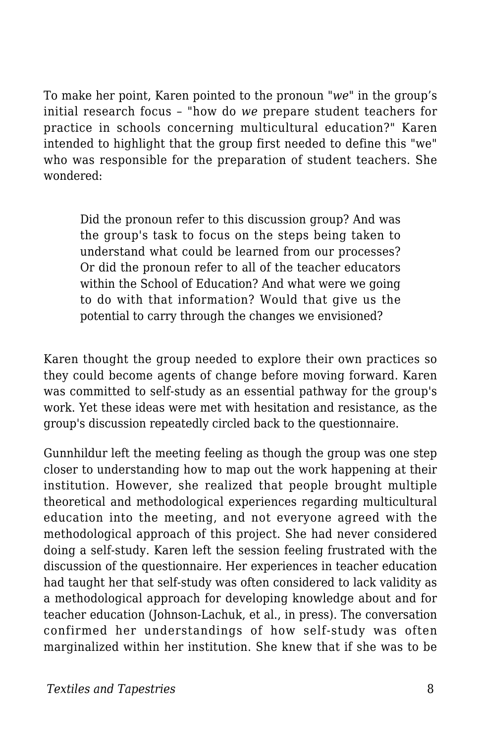To make her point, Karen pointed to the pronoun *"we"* in the group's initial research focus – "how do *we* prepare student teachers for practice in schools concerning multicultural education?" Karen intended to highlight that the group first needed to define this "we" who was responsible for the preparation of student teachers. She wondered:

Did the pronoun refer to this discussion group? And was the group's task to focus on the steps being taken to understand what could be learned from our processes? Or did the pronoun refer to all of the teacher educators within the School of Education? And what were we going to do with that information? Would that give us the potential to carry through the changes we envisioned?

Karen thought the group needed to explore their own practices so they could become agents of change before moving forward. Karen was committed to self-study as an essential pathway for the group's work. Yet these ideas were met with hesitation and resistance, as the group's discussion repeatedly circled back to the questionnaire.

Gunnhildur left the meeting feeling as though the group was one step closer to understanding how to map out the work happening at their institution. However, she realized that people brought multiple theoretical and methodological experiences regarding multicultural education into the meeting, and not everyone agreed with the methodological approach of this project. She had never considered doing a self-study. Karen left the session feeling frustrated with the discussion of the questionnaire. Her experiences in teacher education had taught her that self-study was often considered to lack validity as a methodological approach for developing knowledge about and for teacher education (Johnson-Lachuk, et al., in press). The conversation confirmed her understandings of how self-study was often marginalized within her institution. She knew that if she was to be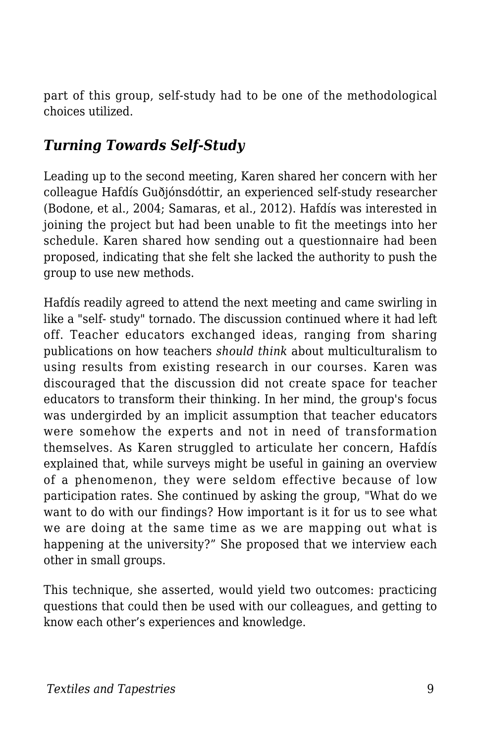part of this group, self-study had to be one of the methodological choices utilized.

#### *Turning Towards Self-Study*

Leading up to the second meeting, Karen shared her concern with her colleague Hafdís Guðjónsdóttir, an experienced self-study researcher (Bodone, et al., 2004; Samaras, et al., 2012). Hafdís was interested in joining the project but had been unable to fit the meetings into her schedule. Karen shared how sending out a questionnaire had been proposed, indicating that she felt she lacked the authority to push the group to use new methods.

Hafdís readily agreed to attend the next meeting and came swirling in like a "self- study" tornado. The discussion continued where it had left off. Teacher educators exchanged ideas, ranging from sharing publications on how teachers *should think* about multiculturalism to using results from existing research in our courses. Karen was discouraged that the discussion did not create space for teacher educators to transform their thinking. In her mind, the group's focus was undergirded by an implicit assumption that teacher educators were somehow the experts and not in need of transformation themselves. As Karen struggled to articulate her concern, Hafdís explained that, while surveys might be useful in gaining an overview of a phenomenon, they were seldom effective because of low participation rates. She continued by asking the group, "What do we want to do with our findings? How important is it for us to see what we are doing at the same time as we are mapping out what is happening at the university?" She proposed that we interview each other in small groups.

This technique, she asserted, would yield two outcomes: practicing questions that could then be used with our colleagues, and getting to know each other's experiences and knowledge.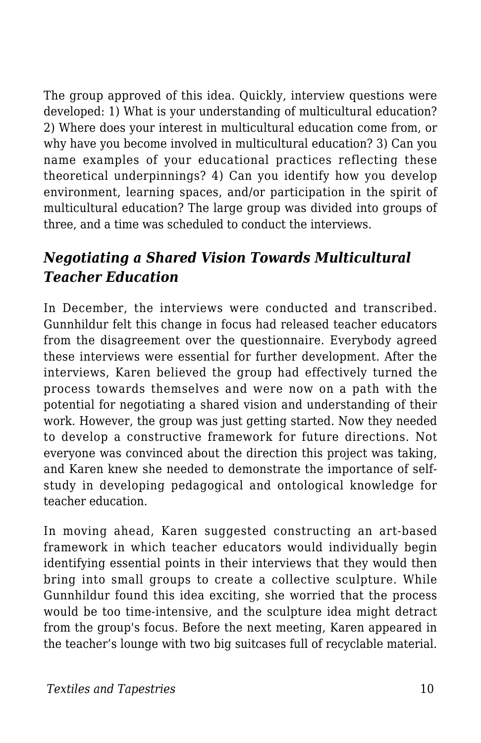The group approved of this idea. Quickly, interview questions were developed: 1) What is your understanding of multicultural education? 2) Where does your interest in multicultural education come from, or why have you become involved in multicultural education? 3) Can you name examples of your educational practices reflecting these theoretical underpinnings? 4) Can you identify how you develop environment, learning spaces, and/or participation in the spirit of multicultural education? The large group was divided into groups of three, and a time was scheduled to conduct the interviews.

### *Negotiating a Shared Vision Towards Multicultural Teacher Education*

In December, the interviews were conducted and transcribed. Gunnhildur felt this change in focus had released teacher educators from the disagreement over the questionnaire. Everybody agreed these interviews were essential for further development. After the interviews, Karen believed the group had effectively turned the process towards themselves and were now on a path with the potential for negotiating a shared vision and understanding of their work. However, the group was just getting started. Now they needed to develop a constructive framework for future directions. Not everyone was convinced about the direction this project was taking, and Karen knew she needed to demonstrate the importance of selfstudy in developing pedagogical and ontological knowledge for teacher education.

In moving ahead, Karen suggested constructing an art-based framework in which teacher educators would individually begin identifying essential points in their interviews that they would then bring into small groups to create a collective sculpture. While Gunnhildur found this idea exciting, she worried that the process would be too time-intensive, and the sculpture idea might detract from the group's focus. Before the next meeting, Karen appeared in the teacher's lounge with two big suitcases full of recyclable material.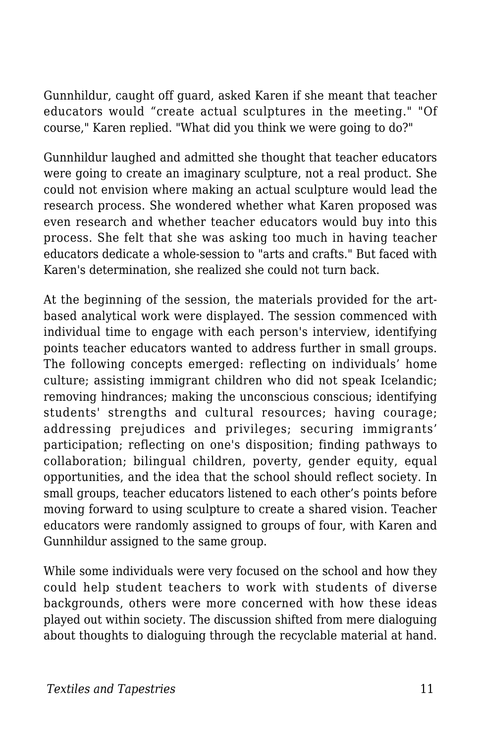Gunnhildur, caught off guard, asked Karen if she meant that teacher educators would "create actual sculptures in the meeting." "Of course," Karen replied. "What did you think we were going to do?"

Gunnhildur laughed and admitted she thought that teacher educators were going to create an imaginary sculpture, not a real product. She could not envision where making an actual sculpture would lead the research process. She wondered whether what Karen proposed was even research and whether teacher educators would buy into this process. She felt that she was asking too much in having teacher educators dedicate a whole-session to "arts and crafts." But faced with Karen's determination, she realized she could not turn back.

At the beginning of the session, the materials provided for the artbased analytical work were displayed. The session commenced with individual time to engage with each person's interview, identifying points teacher educators wanted to address further in small groups. The following concepts emerged: reflecting on individuals' home culture; assisting immigrant children who did not speak Icelandic; removing hindrances; making the unconscious conscious; identifying students' strengths and cultural resources; having courage; addressing prejudices and privileges; securing immigrants' participation; reflecting on one's disposition; finding pathways to collaboration; bilingual children, poverty, gender equity, equal opportunities, and the idea that the school should reflect society. In small groups, teacher educators listened to each other's points before moving forward to using sculpture to create a shared vision. Teacher educators were randomly assigned to groups of four, with Karen and Gunnhildur assigned to the same group.

While some individuals were very focused on the school and how they could help student teachers to work with students of diverse backgrounds, others were more concerned with how these ideas played out within society. The discussion shifted from mere dialoguing about thoughts to dialoguing through the recyclable material at hand.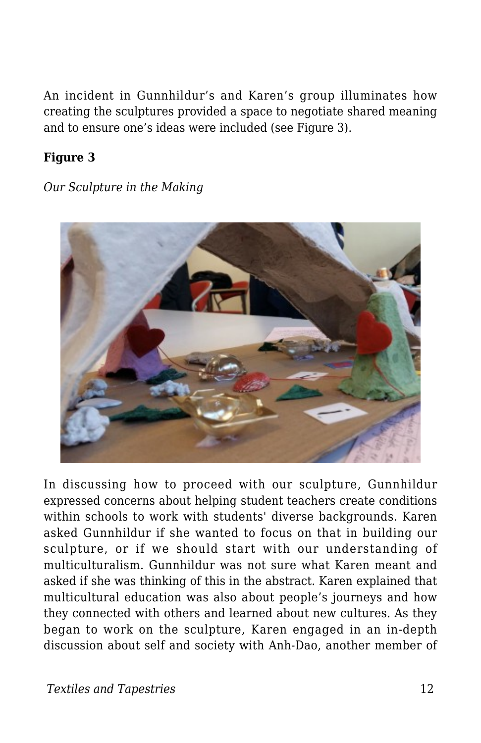An incident in Gunnhildur's and Karen's group illuminates how creating the sculptures provided a space to negotiate shared meaning and to ensure one's ideas were included (see Figure 3).

#### **Figure 3**

*Our Sculpture in the Making*



In discussing how to proceed with our sculpture, Gunnhildur expressed concerns about helping student teachers create conditions within schools to work with students' diverse backgrounds. Karen asked Gunnhildur if she wanted to focus on that in building our sculpture, or if we should start with our understanding of multiculturalism. Gunnhildur was not sure what Karen meant and asked if she was thinking of this in the abstract. Karen explained that multicultural education was also about people's journeys and how they connected with others and learned about new cultures. As they began to work on the sculpture, Karen engaged in an in-depth discussion about self and society with Anh-Dao, another member of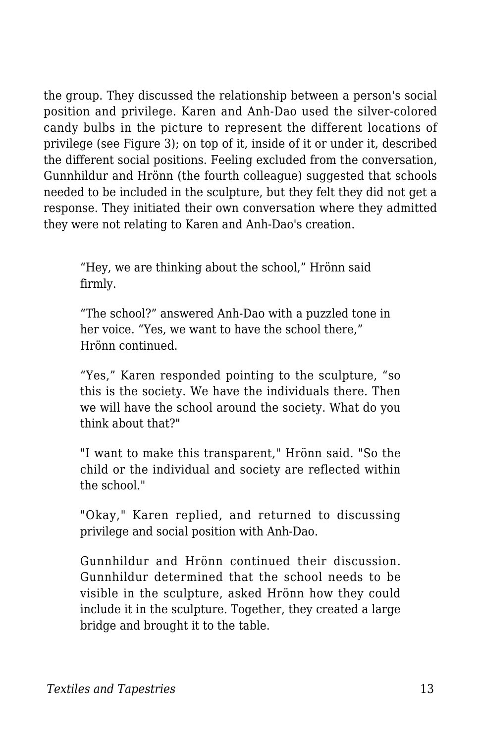the group. They discussed the relationship between a person's social position and privilege. Karen and Anh-Dao used the silver-colored candy bulbs in the picture to represent the different locations of privilege (see Figure 3); on top of it, inside of it or under it, described the different social positions. Feeling excluded from the conversation, Gunnhildur and Hrönn (the fourth colleague) suggested that schools needed to be included in the sculpture, but they felt they did not get a response. They initiated their own conversation where they admitted they were not relating to Karen and Anh-Dao's creation.

"Hey, we are thinking about the school," Hrönn said firmly.

"The school?" answered Anh-Dao with a puzzled tone in her voice. "Yes, we want to have the school there," Hrönn continued.

"Yes," Karen responded pointing to the sculpture, "so this is the society. We have the individuals there. Then we will have the school around the society. What do you think about that?"

"I want to make this transparent," Hrönn said. "So the child or the individual and society are reflected within the school."

"Okay," Karen replied, and returned to discussing privilege and social position with Anh-Dao.

Gunnhildur and Hrönn continued their discussion. Gunnhildur determined that the school needs to be visible in the sculpture, asked Hrönn how they could include it in the sculpture. Together, they created a large bridge and brought it to the table.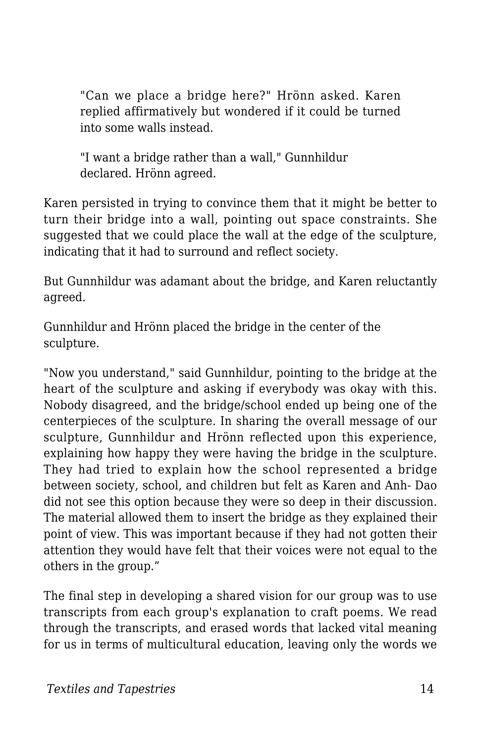"Can we place a bridge here?" Hrönn asked. Karen replied affirmatively but wondered if it could be turned into some walls instead.

"I want a bridge rather than a wall," Gunnhildur declared. Hrönn agreed.

Karen persisted in trying to convince them that it might be better to turn their bridge into a wall, pointing out space constraints. She suggested that we could place the wall at the edge of the sculpture, indicating that it had to surround and reflect society.

But Gunnhildur was adamant about the bridge, and Karen reluctantly agreed.

Gunnhildur and Hrönn placed the bridge in the center of the sculpture.

"Now you understand," said Gunnhildur, pointing to the bridge at the heart of the sculpture and asking if everybody was okay with this. Nobody disagreed, and the bridge/school ended up being one of the centerpieces of the sculpture. In sharing the overall message of our sculpture, Gunnhildur and Hrönn reflected upon this experience, explaining how happy they were having the bridge in the sculpture. They had tried to explain how the school represented a bridge between society, school, and children but felt as Karen and Anh- Dao did not see this option because they were so deep in their discussion. The material allowed them to insert the bridge as they explained their point of view. This was important because if they had not gotten their attention they would have felt that their voices were not equal to the others in the group."

The final step in developing a shared vision for our group was to use transcripts from each group's explanation to craft poems. We read through the transcripts, and erased words that lacked vital meaning for us in terms of multicultural education, leaving only the words we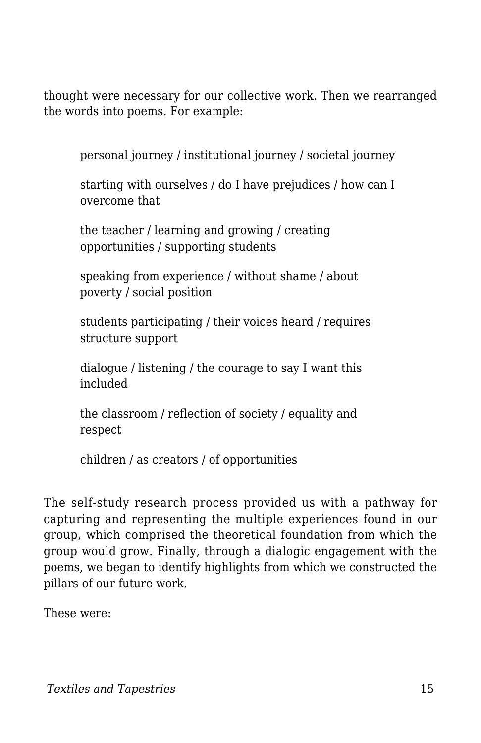thought were necessary for our collective work. Then we rearranged the words into poems. For example:

personal journey / institutional journey / societal journey

starting with ourselves / do I have prejudices / how can I overcome that

the teacher / learning and growing / creating opportunities / supporting students

speaking from experience / without shame / about poverty / social position

students participating / their voices heard / requires structure support

dialogue / listening / the courage to say I want this included

the classroom / reflection of society / equality and respect

children / as creators / of opportunities

The self-study research process provided us with a pathway for capturing and representing the multiple experiences found in our group, which comprised the theoretical foundation from which the group would grow. Finally, through a dialogic engagement with the poems, we began to identify highlights from which we constructed the pillars of our future work.

These were: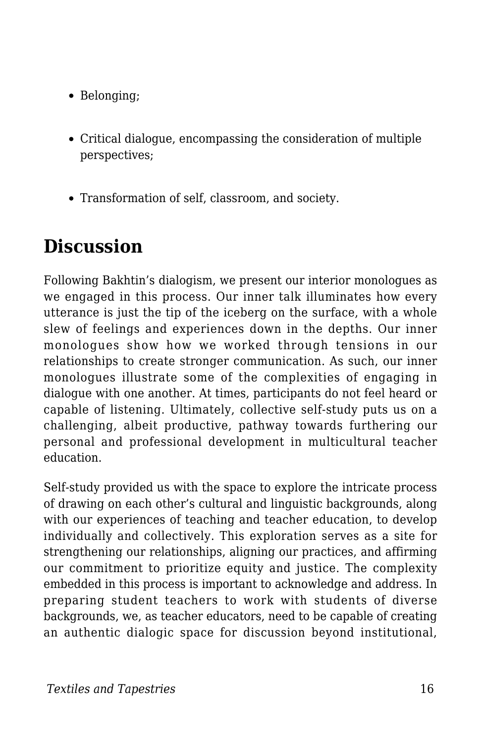- Belonging;
- Critical dialogue, encompassing the consideration of multiple perspectives;
- Transformation of self, classroom, and society.

# **Discussion**

Following Bakhtin's dialogism, we present our interior monologues as we engaged in this process. Our inner talk illuminates how every utterance is just the tip of the iceberg on the surface, with a whole slew of feelings and experiences down in the depths. Our inner monologues show how we worked through tensions in our relationships to create stronger communication. As such, our inner monologues illustrate some of the complexities of engaging in dialogue with one another. At times, participants do not feel heard or capable of listening. Ultimately, collective self-study puts us on a challenging, albeit productive, pathway towards furthering our personal and professional development in multicultural teacher education.

Self-study provided us with the space to explore the intricate process of drawing on each other's cultural and linguistic backgrounds, along with our experiences of teaching and teacher education, to develop individually and collectively. This exploration serves as a site for strengthening our relationships, aligning our practices, and affirming our commitment to prioritize equity and justice. The complexity embedded in this process is important to acknowledge and address. In preparing student teachers to work with students of diverse backgrounds, we, as teacher educators, need to be capable of creating an authentic dialogic space for discussion beyond institutional,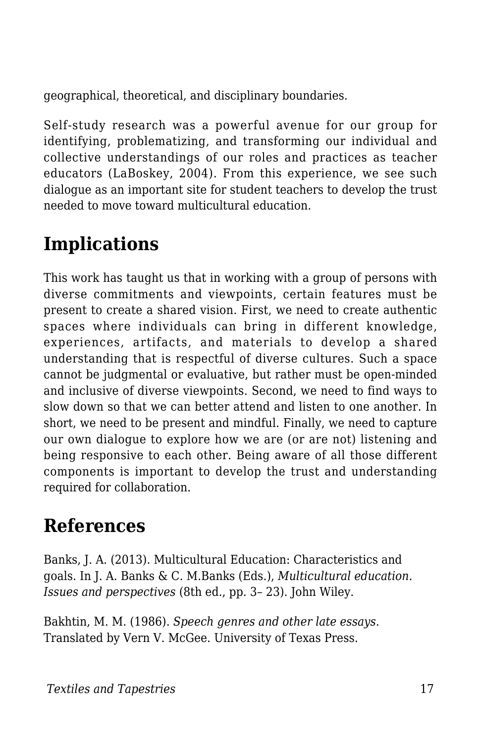geographical, theoretical, and disciplinary boundaries.

Self-study research was a powerful avenue for our group for identifying, problematizing, and transforming our individual and collective understandings of our roles and practices as teacher educators (LaBoskey, 2004). From this experience, we see such dialogue as an important site for student teachers to develop the trust needed to move toward multicultural education.

## **Implications**

This work has taught us that in working with a group of persons with diverse commitments and viewpoints, certain features must be present to create a shared vision. First, we need to create authentic spaces where individuals can bring in different knowledge, experiences, artifacts, and materials to develop a shared understanding that is respectful of diverse cultures. Such a space cannot be judgmental or evaluative, but rather must be open-minded and inclusive of diverse viewpoints. Second, we need to find ways to slow down so that we can better attend and listen to one another. In short, we need to be present and mindful. Finally, we need to capture our own dialogue to explore how we are (or are not) listening and being responsive to each other. Being aware of all those different components is important to develop the trust and understanding required for collaboration.

### **References**

Banks, J. A. (2013). Multicultural Education: Characteristics and goals. In J. A. Banks & C. M.Banks (Eds.), *Multicultural education. Issues and perspectives* (8th ed., pp. 3– 23). John Wiley.

Bakhtin, M. M. (1986). *Speech genres and other late essays*. Translated by Vern V. McGee. University of Texas Press.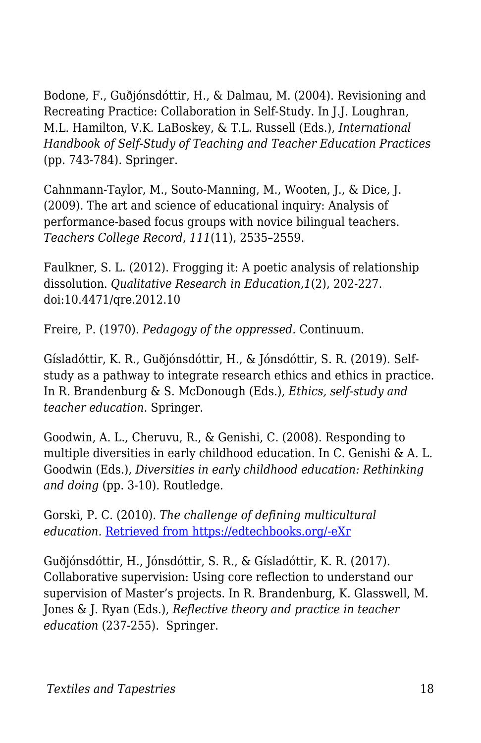Bodone, F., Guðjónsdóttir, H., & Dalmau, M. (2004). Revisioning and Recreating Practice: Collaboration in Self-Study. In J.J. Loughran, M.L. Hamilton, V.K. LaBoskey, & T.L. Russell (Eds.), *International Handbook of Self-Study of Teaching and Teacher Education Practices* (pp. 743-784). Springer.

Cahnmann-Taylor, M., Souto-Manning, M., Wooten, J., & Dice, J. (2009). The art and science of educational inquiry: Analysis of performance-based focus groups with novice bilingual teachers. *Teachers College Record*, *111*(11), 2535–2559.

Faulkner, S. L. (2012). Frogging it: A poetic analysis of relationship dissolution. *Qualitative Research in Education,1*(2), 202-227. doi:10.4471/qre.2012.10

Freire, P. (1970). *Pedagogy of the oppressed.* Continuum.

Gísladóttir, K. R., Guðjónsdóttir, H., & Jónsdóttir, S. R. (2019). Selfstudy as a pathway to integrate research ethics and ethics in practice. In R. Brandenburg & S. McDonough (Eds.), *Ethics, self-study and teacher education*. Springer.

Goodwin, A. L., Cheruvu, R., & Genishi, C. (2008). Responding to multiple diversities in early childhood education. In C. Genishi & A. L. Goodwin (Eds.), *Diversities in early childhood education: Rethinking and doing* (pp. 3-10). Routledge.

Gorski, P. C. (2010). *The challenge of defining multicultural education.* [Retrieved from https://edtechbooks.org/-eXr](http://www.edchange.org/multicultural/)

Guðjónsdóttir, H., Jónsdóttir, S. R., & Gísladóttir, K. R. (2017). Collaborative supervision: Using core reflection to understand our supervision of Master's projects. In R. Brandenburg, K. Glasswell, M. Jones & J. Ryan (Eds.), *Reflective theory and practice in teacher education* (237-255). Springer.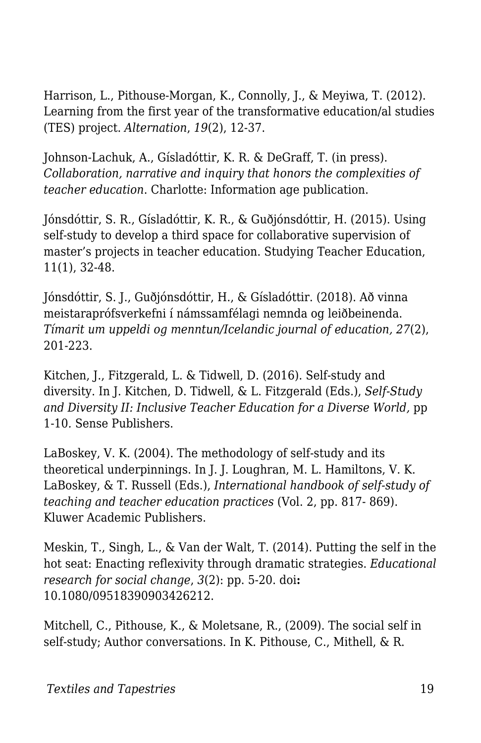Harrison, L., Pithouse-Morgan, K., Connolly, J., & Meyiwa, T. (2012). Learning from the first year of the transformative education/al studies (TES) project. *Alternation*, *19*(2), 12-37.

Johnson-Lachuk, A., Gísladóttir, K. R. & DeGraff, T. (in press). *Collaboration, narrative and inquiry that honors the complexities of teacher education*. Charlotte: Information age publication.

Jónsdóttir, S. R., Gísladóttir, K. R., & Guðjónsdóttir, H. (2015). Using self-study to develop a third space for collaborative supervision of master's projects in teacher education. Studying Teacher Education, 11(1), 32-48.

Jónsdóttir, S. J., Guðjónsdóttir, H., & Gísladóttir. (2018). Að vinna meistaraprófsverkefni í námssamfélagi nemnda og leiðbeinenda. *Tímarit um uppeldi og menntun/Icelandic journal of education, 27*(2), 201-223.

Kitchen, J., Fitzgerald, L. & Tidwell, D. (2016). Self-study and diversity. In J. Kitchen, D. Tidwell, & L. Fitzgerald (Eds.), *Self-Study and Diversity II: Inclusive Teacher Education for a Diverse World,* pp 1-10*.* Sense Publishers.

LaBoskey, V. K. (2004). The methodology of self-study and its theoretical underpinnings. In J. J. Loughran, M. L. Hamiltons, V. K. LaBoskey, & T. Russell (Eds.), *International handbook of self-study of teaching and teacher education practices* (Vol. 2, pp. 817- 869). Kluwer Academic Publishers.

Meskin, T., Singh, L., & Van der Walt, T. (2014). Putting the self in the hot seat: Enacting reflexivity through dramatic strategies. *Educational research for social change*, *3*(2): pp. 5-20. doi**:** 10.1080/09518390903426212.

Mitchell, C., Pithouse, K., & Moletsane, R., (2009). The social self in self-study; Author conversations. In K. Pithouse, C., Mithell, & R.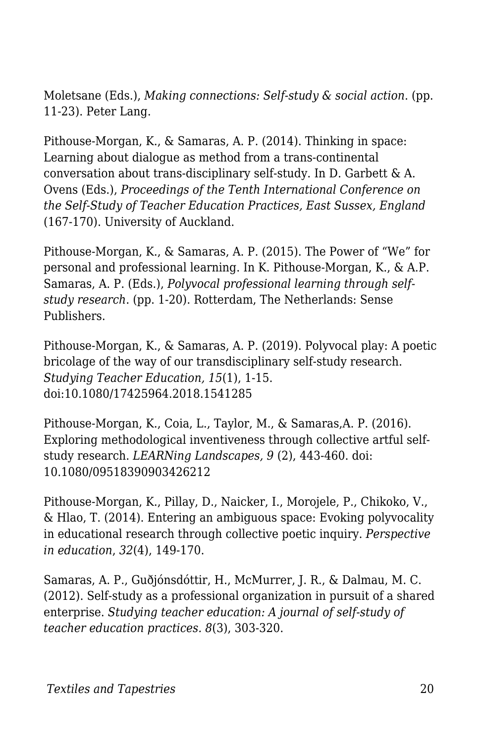Moletsane (Eds.), *Making connections: Self-study & social action*. (pp. 11-23). Peter Lang.

Pithouse-Morgan, K., & Samaras, A. P. (2014). Thinking in space: Learning about dialogue as method from a trans-continental conversation about trans-disciplinary self-study. In D. Garbett & A. Ovens (Eds.), *Proceedings of the Tenth International Conference on the Self-Study of Teacher Education Practices, East Sussex, England* (167-170). University of Auckland.

Pithouse-Morgan, K., & Samaras, A. P. (2015). The Power of "We" for personal and professional learning. In K. Pithouse-Morgan, K., & A.P. Samaras, A. P. (Eds.), *Polyvocal professional learning through selfstudy research*. (pp. 1-20). Rotterdam, The Netherlands: Sense Publishers.

Pithouse-Morgan, K., & Samaras, A. P. (2019). Polyvocal play: A poetic bricolage of the way of our transdisciplinary self-study research. *Studying Teacher Education, 15*(1), 1-15. doi:10.1080/17425964.2018.1541285

Pithouse-Morgan, K., Coia, L., Taylor, M., & Samaras,A. P. (2016). Exploring methodological inventiveness through collective artful selfstudy research. *LEARNing Landscapes, 9* (2), 443-460. doi: 10.1080/09518390903426212

Pithouse-Morgan, K., Pillay, D., Naicker, I., Morojele, P., Chikoko, V., & Hlao, T. (2014). Entering an ambiguous space: Evoking polyvocality in educational research through collective poetic inquiry. *Perspective in education*, *32*(4), 149-170.

Samaras, A. P., Guðjónsdóttir, H., McMurrer, J. R., & Dalmau, M. C. (2012). Self-study as a professional organization in pursuit of a shared enterprise. *Studying teacher education: A journal of self-study of teacher education practices. 8*(3), 303-320.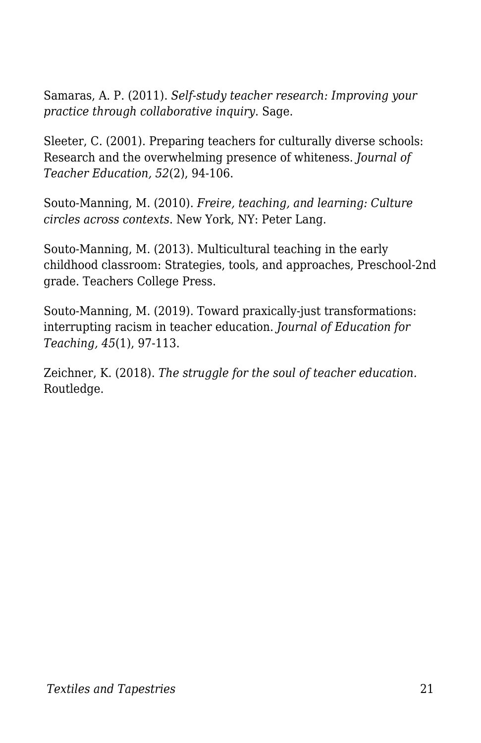Samaras, A. P. (2011). *Self-study teacher research: Improving your practice through collaborative inquiry*. Sage.

Sleeter, C. (2001). Preparing teachers for culturally diverse schools: Research and the overwhelming presence of whiteness. *Journal of Teacher Education, 52*(2), 94-106.

Souto-Manning, M. (2010). *Freire, teaching, and learning: Culture circles across contexts*. New York, NY: Peter Lang.

Souto-Manning, M. (2013). Multicultural teaching in the early childhood classroom: Strategies, tools, and approaches, Preschool-2nd grade. Teachers College Press.

Souto-Manning, M. (2019). Toward praxically-just transformations: interrupting racism in teacher education. *Journal of Education for Teaching, 45*(1), 97-113.

Zeichner, K. (2018). *The struggle for the soul of teacher education.* Routledge.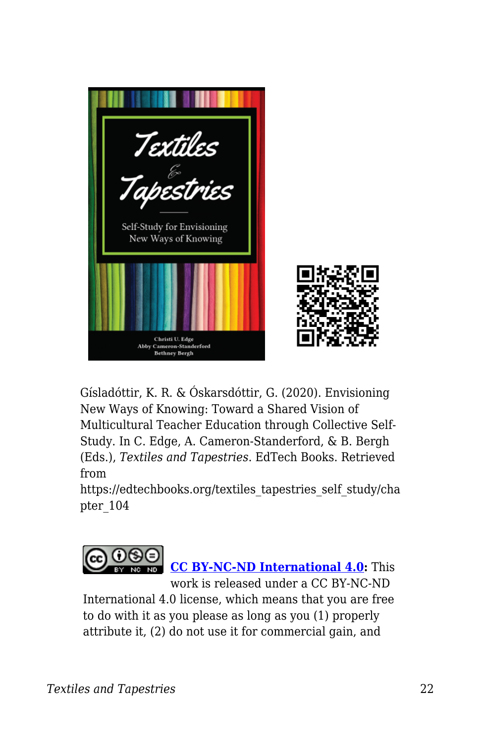

Gísladóttir, K. R. & Óskarsdóttir, G. (2020). Envisioning New Ways of Knowing: Toward a Shared Vision of Multicultural Teacher Education through Collective Self-Study. In C. Edge, A. Cameron-Standerford, & B. Bergh (Eds.), *Textiles and Tapestries*. EdTech Books. Retrieved from

https://edtechbooks.org/textiles\_tapestries\_self\_study/cha pter\_104



International 4.0 license, which means that you are free to do with it as you please as long as you (1) properly attribute it, (2) do not use it for commercial gain, and